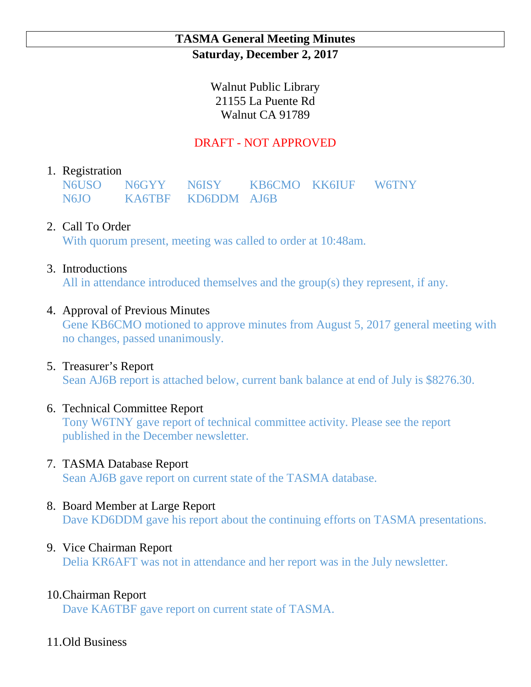### **TASMA General Meeting Minutes Saturday, December 2, 2017**

Walnut Public Library 21155 La Puente Rd Walnut CA 91789

# DRAFT - NOT APPROVED

### 1. Registration

N6USO N6GYY N6ISY KB6CMO KK6IUF W6TNY N6JO KA6TBF KD6DDM AJ6B

## 2. Call To Order

With quorum present, meeting was called to order at 10:48am.

#### 3. Introductions

All in attendance introduced themselves and the group(s) they represent, if any.

## 4. Approval of Previous Minutes

Gene KB6CMO motioned to approve minutes from August 5, 2017 general meeting with no changes, passed unanimously.

#### 5. Treasurer's Report

Sean AJ6B report is attached below, current bank balance at end of July is \$8276.30.

#### 6. Technical Committee Report

Tony W6TNY gave report of technical committee activity. Please see the report published in the December newsletter.

#### 7. TASMA Database Report

Sean AJ6B gave report on current state of the TASMA database.

#### 8. Board Member at Large Report

Dave KD6DDM gave his report about the continuing efforts on TASMA presentations.

#### 9. Vice Chairman Report

Delia KR6AFT was not in attendance and her report was in the July newsletter.

## 10.Chairman Report

Dave KA6TBF gave report on current state of TASMA.

#### 11.Old Business